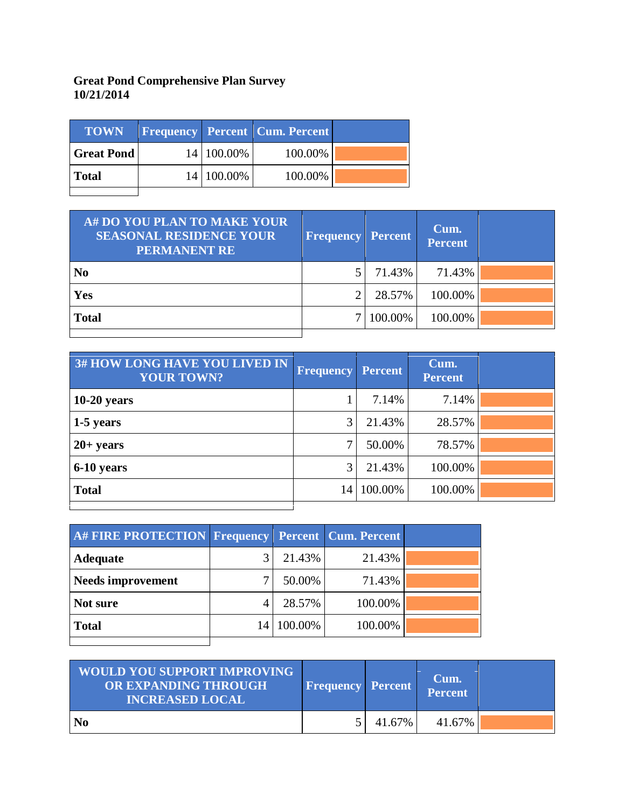## **Great Pond Comprehensive Plan Survey 10/21/2014**

| <b>TOWN</b>       |            | <b>Frequency Percent Cum. Percent</b> |  |
|-------------------|------------|---------------------------------------|--|
| <b>Great Pond</b> | 14 100.00% | 100.00%                               |  |
| <b>Total</b>      | 14 100.00% | 100.00%                               |  |

| A# DO YOU PLAN TO MAKE YOUR<br><b>SEASONAL RESIDENCE YOUR</b><br><b>PERMANENT RE</b> | <b>Frequency Percent</b> |         | Cum.<br><b>Percent</b> |  |
|--------------------------------------------------------------------------------------|--------------------------|---------|------------------------|--|
| N <sub>0</sub>                                                                       |                          | 71.43%  | 71.43%                 |  |
| Yes                                                                                  |                          | 28.57%  | 100.00%                |  |
| <b>Total</b>                                                                         |                          | 100.00% | 100.00%                |  |
|                                                                                      |                          |         |                        |  |

| 3# HOW LONG HAVE YOU LIVED IN<br><b>YOUR TOWN?</b> | Frequency | Percent | Cum.<br><b>Percent</b> |  |
|----------------------------------------------------|-----------|---------|------------------------|--|
| $10-20$ years                                      |           | 7.14%   | 7.14%                  |  |
| 1-5 years                                          | 3         | 21.43%  | 28.57%                 |  |
| $20+ years$                                        | ⇁         | 50.00%  | 78.57%                 |  |
| 6-10 years                                         | 3         | 21.43%  | 100.00%                |  |
| <b>Total</b>                                       | 14        | 100.00% | 100.00%                |  |
|                                                    |           |         |                        |  |

| A# FIRE PROTECTION Frequency Percent Cum. Percent |    |         |         |  |
|---------------------------------------------------|----|---------|---------|--|
| <b>Adequate</b>                                   |    | 21.43%  | 21.43%  |  |
| <b>Needs improvement</b>                          |    | 50.00%  | 71.43%  |  |
| Not sure                                          |    | 28.57%  | 100.00% |  |
| <b>Total</b>                                      | 14 | 100.00% | 100.00% |  |
|                                                   |    |         |         |  |

| <b>WOULD YOU SUPPORT IMPROVING</b><br>OR EXPANDING THROUGH<br><b>INCREASED LOCAL</b> | <b>Frequency Percent</b> |        | Cum.<br>Percent |  |
|--------------------------------------------------------------------------------------|--------------------------|--------|-----------------|--|
| No                                                                                   |                          | 41.67% | 41.67%          |  |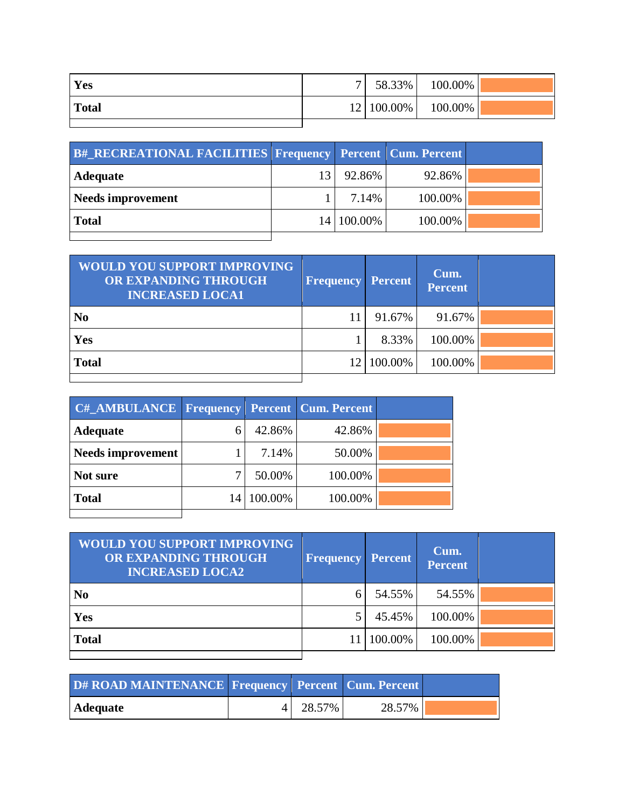| Yes          | $\mathbf{r}$ | 58.33% | 100.00%                |  |
|--------------|--------------|--------|------------------------|--|
| <b>Total</b> |              |        | 12   100.00%   100.00% |  |
|              |              |        |                        |  |

| <b>B# RECREATIONAL FACILITIES Frequency Percent Cum. Percent</b> |    |            |         |  |
|------------------------------------------------------------------|----|------------|---------|--|
| <b>Adequate</b>                                                  | 13 | 92.86%     | 92.86%  |  |
| <b>Needs improvement</b>                                         |    | 7.14%      | 100.00% |  |
| <b>Total</b>                                                     |    | 14 100.00% | 100.00% |  |
|                                                                  |    |            |         |  |

| <b>WOULD YOU SUPPORT IMPROVING</b><br>OR EXPANDING THROUGH<br><b>INCREASED LOCA1</b> | <b>Frequency</b> | <b>Percent</b> | Cum.<br><b>Percent</b> |  |
|--------------------------------------------------------------------------------------|------------------|----------------|------------------------|--|
| N <sub>0</sub>                                                                       |                  | 91.67%         | 91.67%                 |  |
| Yes                                                                                  |                  | 8.33%          | 100.00%                |  |
| <b>Total</b>                                                                         | 12               | 100.00%        | 100.00%                |  |
|                                                                                      |                  |                |                        |  |

| C# AMBULANCE   Frequency   Percent   Cum. Percent |    |         |         |  |
|---------------------------------------------------|----|---------|---------|--|
| <b>Adequate</b>                                   |    | 42.86%  | 42.86%  |  |
| Needs improvement                                 |    | 7.14%   | 50.00%  |  |
| Not sure                                          |    | 50.00%  | 100.00% |  |
| <b>Total</b>                                      | 14 | 100.00% | 100.00% |  |
|                                                   |    |         |         |  |

| <b>WOULD YOU SUPPORT IMPROVING</b><br>OR EXPANDING THROUGH<br><b>INCREASED LOCA2</b> | <b>Frequency Percent</b> |         | Cum.<br>Percent |  |
|--------------------------------------------------------------------------------------|--------------------------|---------|-----------------|--|
| N <sub>0</sub>                                                                       | 6                        | 54.55%  | 54.55%          |  |
| Yes                                                                                  |                          | 45.45%  | 100.00%         |  |
| <b>Total</b>                                                                         |                          | 100.00% | 100.00%         |  |
|                                                                                      |                          |         |                 |  |

| D# ROAD MAINTENANCE Frequency Percent Cum. Percent |          |        |  |
|----------------------------------------------------|----------|--------|--|
| Adequate                                           | 4 28.57% | 28.57% |  |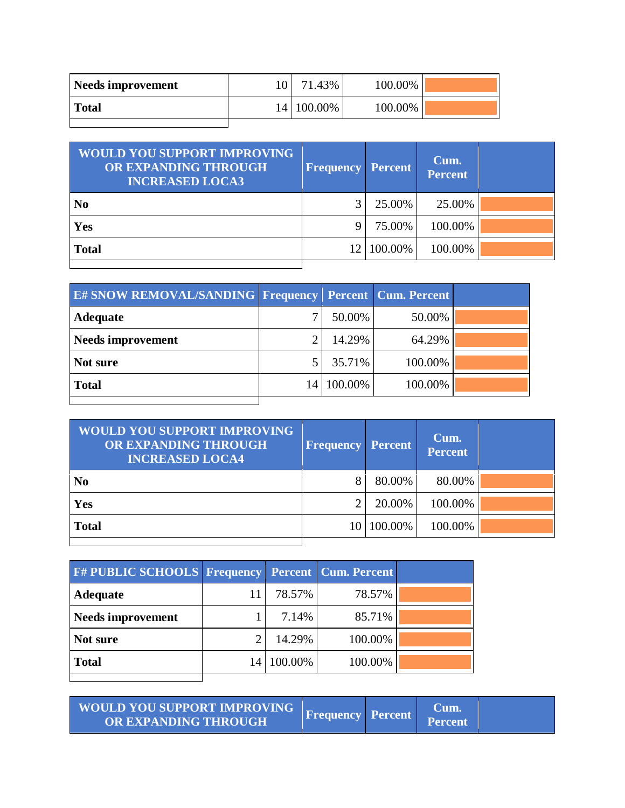| Needs improvement | 71.43%       | 100.00% |  |
|-------------------|--------------|---------|--|
| <b>Total</b>      | 14   100.00% | 100.00% |  |
|                   |              |         |  |

| <b>WOULD YOU SUPPORT IMPROVING</b><br>OR EXPANDING THROUGH<br><b>INCREASED LOCA3</b> | <b>Frequency Percent</b> |         | Cum.<br><b>Percent</b> |  |
|--------------------------------------------------------------------------------------|--------------------------|---------|------------------------|--|
| N <sub>0</sub>                                                                       |                          | 25.00%  | 25.00%                 |  |
| Yes                                                                                  |                          | 75.00%  | 100.00%                |  |
| <b>Total</b>                                                                         |                          | 100.00% | 100.00%                |  |
|                                                                                      |                          |         |                        |  |

| <b>E# SNOW REMOVAL/SANDING Frequency Percent Cum. Percent</b> |         |         |  |
|---------------------------------------------------------------|---------|---------|--|
| <b>Adequate</b>                                               | 50.00%  | 50.00%  |  |
| <b>Needs improvement</b>                                      | 14.29%  | 64.29%  |  |
| Not sure                                                      | 35.71%  | 100.00% |  |
| <b>Total</b>                                                  | 100.00% | 100.00% |  |
|                                                               |         |         |  |

| <b>WOULD YOU SUPPORT IMPROVING</b><br>OR EXPANDING THROUGH<br><b>INCREASED LOCA4</b> | <b>Frequency</b> | <b>Percent</b> | Cum.<br><b>Percent</b> |  |
|--------------------------------------------------------------------------------------|------------------|----------------|------------------------|--|
| N <sub>0</sub>                                                                       |                  | 80.00%         | 80.00%                 |  |
| Yes                                                                                  |                  | 20.00%         | 100.00%                |  |
| <b>Total</b>                                                                         |                  | 10 100.00%     | 100.00%                |  |

| F# PUBLIC SCHOOLS Frequency Percent Cum. Percent |    |         |         |  |
|--------------------------------------------------|----|---------|---------|--|
| <b>Adequate</b>                                  | 11 | 78.57%  | 78.57%  |  |
| <b>Needs improvement</b>                         |    | 7.14%   | 85.71%  |  |
| Not sure                                         |    | 14.29%  | 100.00% |  |
| <b>Total</b>                                     | 14 | 100.00% | 100.00% |  |
|                                                  |    |         |         |  |

| <b>WOULD YOU SUPPORT IMPROVING</b><br>OR EXPANDING THROUGH | <b>Frequency Percent</b> |  | <b>Cum</b><br><b>Percent</b> |  |
|------------------------------------------------------------|--------------------------|--|------------------------------|--|
|------------------------------------------------------------|--------------------------|--|------------------------------|--|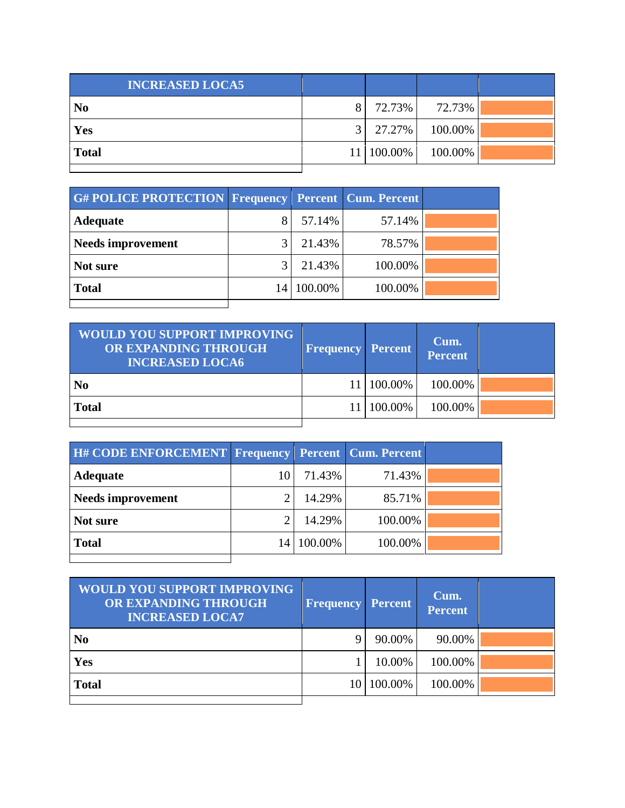| <b>INCREASED LOCA5</b> |                |            |         |  |
|------------------------|----------------|------------|---------|--|
| N <sub>0</sub>         | 8 <sub>1</sub> | 72.73%     | 72.73%  |  |
| Yes                    | $\mathcal{R}$  | 27.27%     | 100.00% |  |
| <b>Total</b>           |                | 11 100.00% | 100.00% |  |
|                        |                |            |         |  |

| <b>G#POLICE PROTECTION Frequency Percent Cum. Percent</b> |    |         |         |  |
|-----------------------------------------------------------|----|---------|---------|--|
| Adequate                                                  |    | 57.14%  | 57.14%  |  |
| <b>Needs improvement</b>                                  |    | 21.43%  | 78.57%  |  |
| Not sure                                                  |    | 21.43%  | 100.00% |  |
| <b>Total</b>                                              | 14 | 100.00% | 100.00% |  |
|                                                           |    |         |         |  |

| <b>WOULD YOU SUPPORT IMPROVING</b><br>OR EXPANDING THROUGH<br><b>INCREASED LOCA6</b> | <b>Frequency Percent</b> |              | Cum.<br>Percent |  |
|--------------------------------------------------------------------------------------|--------------------------|--------------|-----------------|--|
| <b>No</b>                                                                            |                          | 11   100.00% | 100.00%         |  |
| <b>Total</b>                                                                         |                          | 11   100.00% | 100.00%         |  |
|                                                                                      |                          |              |                 |  |

| <b>H# CODE ENFORCEMENT Frequency Percent Cum. Percent</b> |    |         |         |  |
|-----------------------------------------------------------|----|---------|---------|--|
| <b>Adequate</b>                                           |    | 71.43%  | 71.43%  |  |
| Needs improvement                                         |    | 14.29%  | 85.71%  |  |
| Not sure                                                  |    | 14.29%  | 100.00% |  |
| <b>Total</b>                                              | 14 | 100.00% | 100.00% |  |
|                                                           |    |         |         |  |

| <b>WOULD YOU SUPPORT IMPROVING</b><br>OR EXPANDING THROUGH<br><b>INCREASED LOCA7</b> | <b>Frequency Percent</b> |            | Cum.<br><b>Percent</b> |  |
|--------------------------------------------------------------------------------------|--------------------------|------------|------------------------|--|
| N <sub>0</sub>                                                                       | Q                        | 90.00%     | 90.00%                 |  |
| Yes                                                                                  |                          | 10.00%     | 100.00%                |  |
| <b>Total</b>                                                                         |                          | 10 100.00% | 100.00%                |  |
|                                                                                      |                          |            |                        |  |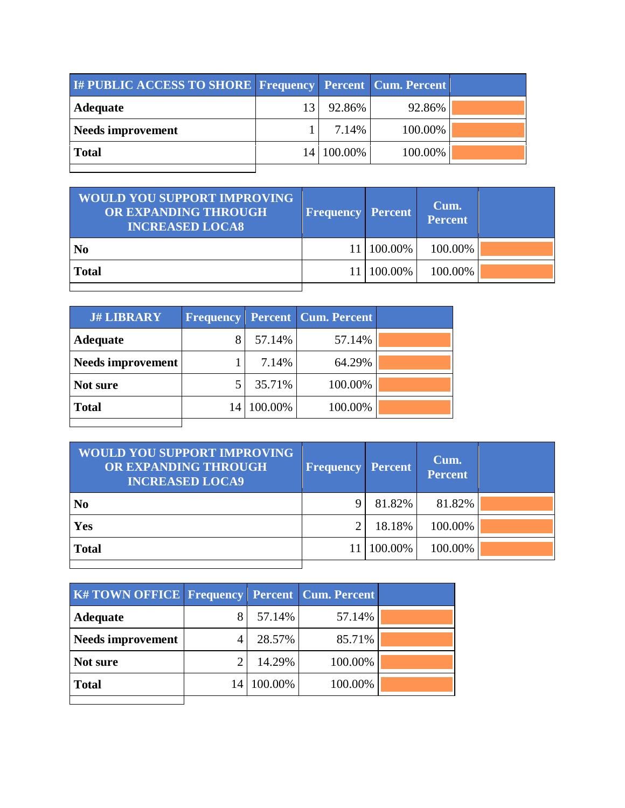| <b>I# PUBLIC ACCESS TO SHORE Frequency Percent Cum. Percent</b> |            |         |  |
|-----------------------------------------------------------------|------------|---------|--|
| <b>Adequate</b>                                                 | 92.86%     | 92.86%  |  |
| <b>Needs improvement</b>                                        | 7.14%      | 100.00% |  |
| <b>Total</b>                                                    | 14 100.00% | 100.00% |  |
|                                                                 |            |         |  |

| <b>WOULD YOU SUPPORT IMPROVING</b><br><b>OR EXPANDING THROUGH</b><br><b>INCREASED LOCA8</b> | <b>Frequency Percent</b> |              | Cum.<br>Percent |  |
|---------------------------------------------------------------------------------------------|--------------------------|--------------|-----------------|--|
| N <sub>0</sub>                                                                              |                          | 11   100.00% | 100.00%         |  |
| <b>Total</b>                                                                                |                          | 100.00%      | 100.00%         |  |
|                                                                                             |                          |              |                 |  |

| <b>J# LIBRARY</b> | <b>Frequency</b> |         | <b>Percent   Cum. Percent</b> |  |
|-------------------|------------------|---------|-------------------------------|--|
| <b>Adequate</b>   |                  | 57.14%  | 57.14%                        |  |
| Needs improvement |                  | 7.14%   | 64.29%                        |  |
| Not sure          |                  | 35.71%  | 100.00%                       |  |
| <b>Total</b>      | 14               | 100.00% | 100.00%                       |  |
|                   |                  |         |                               |  |

| <b>WOULD YOU SUPPORT IMPROVING</b><br>OR EXPANDING THROUGH<br><b>INCREASED LOCA9</b> | <b>Frequency</b> | <b>Percent</b> | Cum.<br><b>Percent</b> |  |
|--------------------------------------------------------------------------------------|------------------|----------------|------------------------|--|
| N <sub>0</sub>                                                                       |                  | 81.82%         | 81.82%                 |  |
| Yes                                                                                  |                  | 18.18%         | 100.00%                |  |
| <b>Total</b>                                                                         |                  | 100.00%        | 100.00%                |  |
|                                                                                      |                  |                |                        |  |

| <b>K#TOWN OFFICE Frequency Percent Cum. Percent</b> |    |         |         |  |
|-----------------------------------------------------|----|---------|---------|--|
| <b>Adequate</b>                                     |    | 57.14%  | 57.14%  |  |
| <b>Needs improvement</b>                            |    | 28.57%  | 85.71%  |  |
| Not sure                                            |    | 14.29%  | 100.00% |  |
| <b>Total</b>                                        | 14 | 100.00% | 100.00% |  |
|                                                     |    |         |         |  |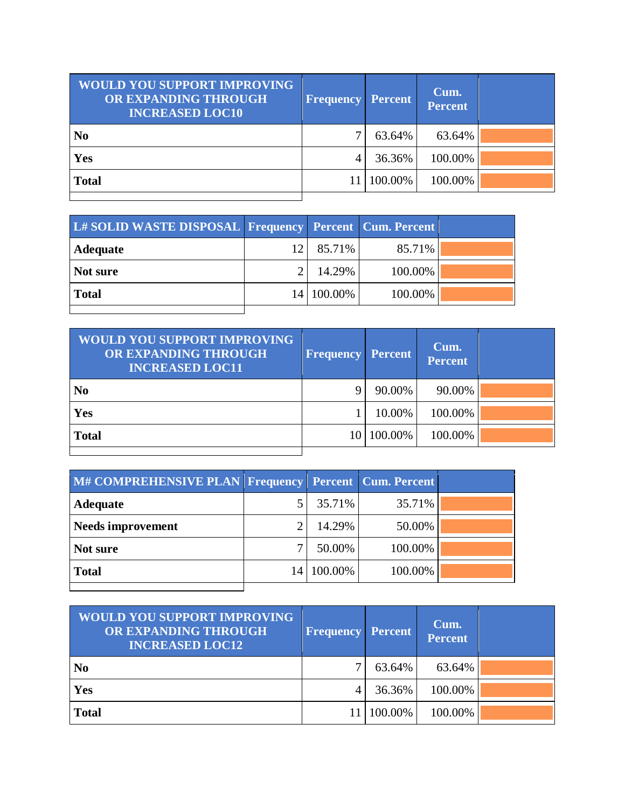| <b>WOULD YOU SUPPORT IMPROVING</b><br>OR EXPANDING THROUGH<br><b>INCREASED LOC10</b> | <b>Frequency</b> | <b>Percent</b> | Cum.<br><b>Percent</b> |  |
|--------------------------------------------------------------------------------------|------------------|----------------|------------------------|--|
| N <sub>0</sub>                                                                       |                  | 63.64%         | 63.64%                 |  |
| Yes                                                                                  | 4                | 36.36%         | 100.00%                |  |
| <b>Total</b>                                                                         |                  | 11 100.00%     | 100.00%                |  |
|                                                                                      |                  |                |                        |  |

| L# SOLID WASTE DISPOSAL Frequency Percent Cum. Percent |      |              |         |  |
|--------------------------------------------------------|------|--------------|---------|--|
| <b>Adequate</b>                                        | 12.1 | 85.71%       | 85.71%  |  |
| Not sure                                               |      | 14.29%       | 100.00% |  |
| <b>Total</b>                                           |      | 14   100.00% | 100.00% |  |
|                                                        |      |              |         |  |

| <b>WOULD YOU SUPPORT IMPROVING</b><br>OR EXPANDING THROUGH<br><b>INCREASED LOC11</b> | <b>Frequency</b> | <b>Percent</b> | Cum.<br><b>Percent</b> |  |
|--------------------------------------------------------------------------------------|------------------|----------------|------------------------|--|
| N <sub>0</sub>                                                                       |                  | 90.00%         | 90.00%                 |  |
| Yes                                                                                  |                  | 10.00%         | 100.00%                |  |
| <b>Total</b>                                                                         |                  | 10 100.00%     | 100.00%                |  |
|                                                                                      |                  |                |                        |  |

| M# COMPREHENSIVE PLAN Frequency Percent Cum. Percent |    |         |         |  |
|------------------------------------------------------|----|---------|---------|--|
| <b>Adequate</b>                                      |    | 35.71%  | 35.71%  |  |
| <b>Needs improvement</b>                             |    | 14.29%  | 50.00%  |  |
| Not sure                                             |    | 50.00%  | 100.00% |  |
| <b>Total</b>                                         | 14 | 100.00% | 100.00% |  |
|                                                      |    |         |         |  |

| <b>WOULD YOU SUPPORT IMPROVING</b><br>OR EXPANDING THROUGH<br><b>INCREASED LOC12</b> | <b>Frequency Percent</b> |         | Cum.<br><b>Percent</b> |  |
|--------------------------------------------------------------------------------------|--------------------------|---------|------------------------|--|
| N <sub>0</sub>                                                                       |                          | 63.64%  | 63.64%                 |  |
| Yes                                                                                  |                          | 36.36%  | 100.00%                |  |
| <b>Total</b>                                                                         |                          | 100.00% | 100.00%                |  |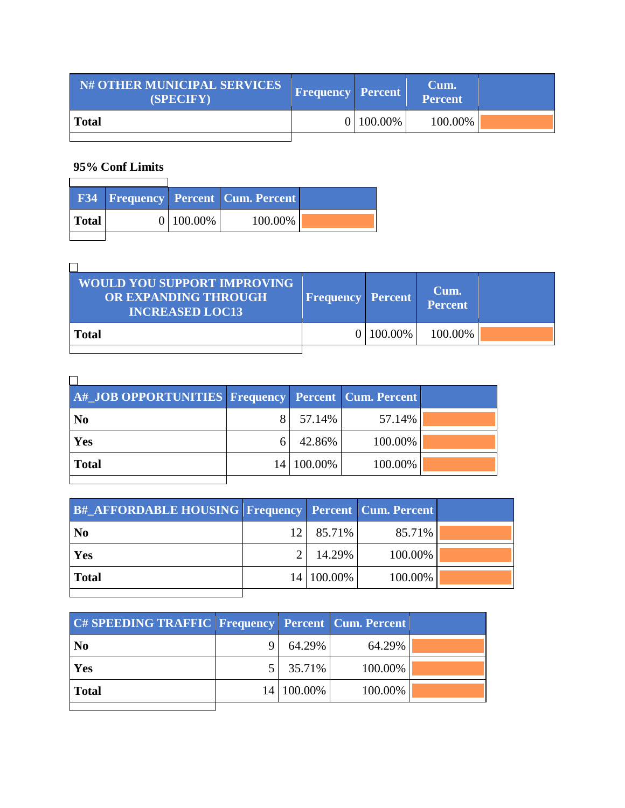| <b>N# OTHER MUNICIPAL SERVICES</b><br>(SPECIFY) | Frequency Percent |             | Cum.<br>Percent |  |
|-------------------------------------------------|-------------------|-------------|-----------------|--|
| <b>Total</b>                                    |                   | 0   100.00% | 100.00%         |  |

## **95% Conf Limits**  $\overline{\mathbf{1}}$

|              |              | <b>F34 Frequency Percent Cum. Percent</b> |  |
|--------------|--------------|-------------------------------------------|--|
| <b>Total</b> | $0 100.00\%$ | 100.00%                                   |  |
|              |              |                                           |  |

| <b>WOULD YOU SUPPORT IMPROVING</b><br>OR EXPANDING THROUGH<br><b>INCREASED LOC13</b> | <b>Frequency Percent</b> |              | Cum.<br>Percent |  |
|--------------------------------------------------------------------------------------|--------------------------|--------------|-----------------|--|
| <b>Total</b>                                                                         |                          | $0 100.00\%$ | 100.00%         |  |

| A#_JOB OPPORTUNITIES Frequency Percent Cum. Percent |            |         |  |
|-----------------------------------------------------|------------|---------|--|
| N <sub>0</sub>                                      | 57.14%     | 57.14%  |  |
| Yes                                                 | 42.86%     | 100.00% |  |
| <b>Total</b>                                        | 14 100.00% | 100.00% |  |
|                                                     |            |         |  |

| <b>B#_AFFORDABLE HOUSING Frequency Percent Cum. Percent</b> |          |            |         |  |
|-------------------------------------------------------------|----------|------------|---------|--|
| $\overline{\text{No}}$                                      | 12 I     | 85.71%     | 85.71%  |  |
| <b>Yes</b>                                                  | $\gamma$ | 14.29%     | 100.00% |  |
| Total                                                       |          | 14 100.00% | 100.00% |  |

| <b>C# SPEEDING TRAFFIC Frequency Percent Cum. Percent</b> |            |         |  |
|-----------------------------------------------------------|------------|---------|--|
| N <sub>0</sub>                                            | 64.29%     | 64.29%  |  |
| Yes                                                       | 35.71%     | 100.00% |  |
| <b>Total</b>                                              | 14 100.00% | 100.00% |  |
|                                                           |            |         |  |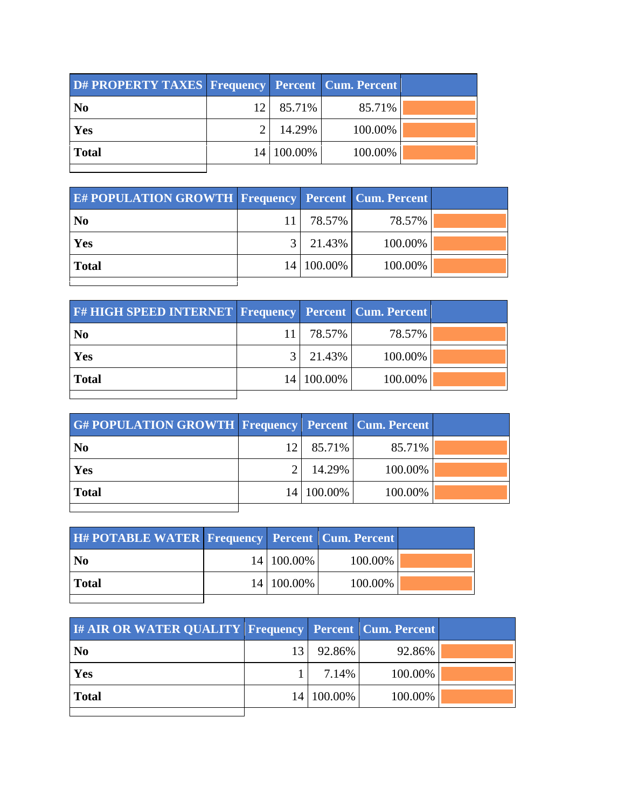| D# PROPERTY TAXES   Frequency   Percent   Cum. Percent |    |            |         |  |
|--------------------------------------------------------|----|------------|---------|--|
| N <sub>0</sub>                                         | 12 | 85.71%     | 85.71%  |  |
| Yes                                                    |    | 14.29%     | 100.00% |  |
| <b>Total</b>                                           |    | 14 100.00% | 100.00% |  |
|                                                        |    |            |         |  |

| <b>E# POPULATION GROWTH Frequency Percent Cum. Percent</b> |                |            |         |  |
|------------------------------------------------------------|----------------|------------|---------|--|
| $\mathbf{N}\mathbf{0}$                                     |                | 78.57% l   | 78.57%  |  |
| <b>Yes</b>                                                 | 3 <sup>1</sup> | 21.43%     | 100.00% |  |
| Total                                                      |                | 14 100.00% | 100.00% |  |
|                                                            |                |            |         |  |

| <b>F# HIGH SPEED INTERNET Frequency Percent Cum. Percent</b> |            |         |  |
|--------------------------------------------------------------|------------|---------|--|
| N <sub>0</sub>                                               | 78.57% '   | 78.57%  |  |
| Yes                                                          | 21.43%     | 100.00% |  |
| <b>Total</b>                                                 | 14 100.00% | 100.00% |  |
|                                                              |            |         |  |

| <b>G#POPULATION GROWTH Frequency Percent Cum. Percent</b> |                 |            |         |  |
|-----------------------------------------------------------|-----------------|------------|---------|--|
| N <sub>0</sub>                                            | 12 <sub>1</sub> | 85.71%     | 85.71%  |  |
| Yes                                                       |                 | 14.29%     | 100.00% |  |
| <b>Total</b>                                              |                 | 14 100.00% | 100.00% |  |
|                                                           |                 |            |         |  |

| <b>H#POTABLE WATER Frequency Percent Cum. Percent</b> |              |         |  |
|-------------------------------------------------------|--------------|---------|--|
| N <sub>0</sub>                                        | 14   100.00% | 100.00% |  |
| <b>Total</b>                                          | 14 100.00%   | 100.00% |  |
|                                                       |              |         |  |

l.

| <b>I# AIR OR WATER QUALITY Frequency Percent Cum. Percent</b> |    |            |         |  |
|---------------------------------------------------------------|----|------------|---------|--|
| N <sub>0</sub>                                                | 13 | 92.86%     | 92.86%  |  |
| Yes                                                           |    | 7.14%      | 100.00% |  |
| <b>Total</b>                                                  |    | 14 100.00% | 100.00% |  |
|                                                               |    |            |         |  |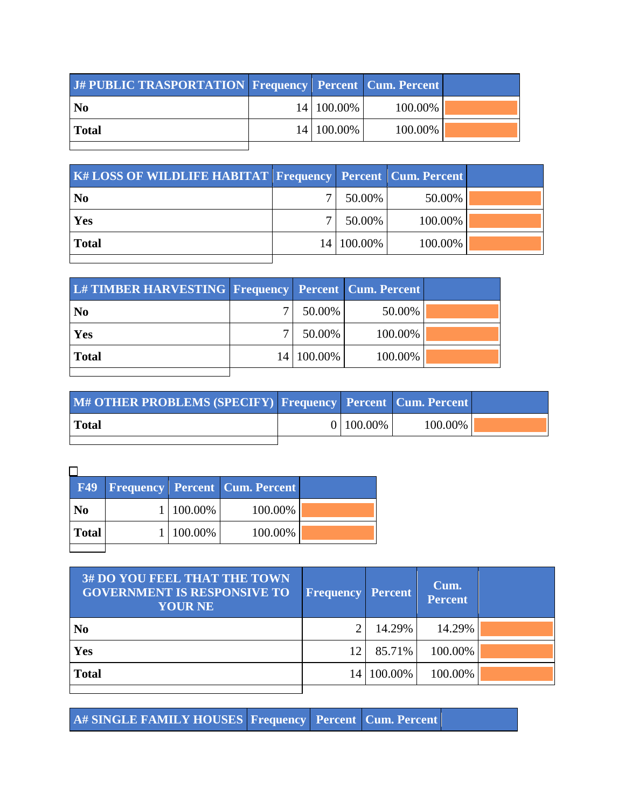| J# PUBLIC TRASPORTATION Frequency Percent Cum. Percent |            |         |  |
|--------------------------------------------------------|------------|---------|--|
| <b>No</b>                                              | 14 100.00% | 100.00% |  |
| <b>Total</b>                                           | 14 100.00% | 100.00% |  |
|                                                        |            |         |  |

| <b>K# LOSS OF WILDLIFE HABITAT Frequency Percent Cum. Percent</b> |            |         |  |
|-------------------------------------------------------------------|------------|---------|--|
| N <sub>0</sub>                                                    | 50.00%     | 50.00%  |  |
| Yes                                                               | 50.00%     | 100.00% |  |
| <b>Total</b>                                                      | 14 100.00% | 100.00% |  |
|                                                                   |            |         |  |

| L# TIMBER HARVESTING Frequency Percent Cum. Percent |            |         |  |
|-----------------------------------------------------|------------|---------|--|
| N <sub>0</sub>                                      | 50.00%     | 50.00%  |  |
| Yes                                                 | 50.00%     | 100.00% |  |
| <b>Total</b>                                        | 14 100.00% | 100.00% |  |
|                                                     |            |         |  |

| M# OTHER PROBLEMS (SPECIFY) Frequency Percent Cum. Percent |                   |         |  |
|------------------------------------------------------------|-------------------|---------|--|
| <b>Total</b>                                               | $0 \mid 100.00\%$ | 100.00% |  |
|                                                            |                   |         |  |

| F49            |           | <b>Frequency Percent Cum. Percent</b> |  |
|----------------|-----------|---------------------------------------|--|
| N <sub>0</sub> | 1 100.00% | 100.00%                               |  |
| <b>Total</b>   | 100.00%   | 100.00%                               |  |
|                |           |                                       |  |

| <b>3# DO YOU FEEL THAT THE TOWN</b><br><b>GOVERNMENT IS RESPONSIVE TO</b><br><b>YOUR NE</b> | <b>Frequency Percent</b> |         | Cum.<br><b>Percent</b> |  |
|---------------------------------------------------------------------------------------------|--------------------------|---------|------------------------|--|
| N <sub>0</sub>                                                                              |                          | 14.29%  | 14.29%                 |  |
| Yes                                                                                         | 12                       | 85.71%  | 100.00%                |  |
| <b>Total</b>                                                                                | 14                       | 100.00% | 100.00%                |  |

**A# SINGLE FAMILY HOUSES Frequency Percent Cum. Percent**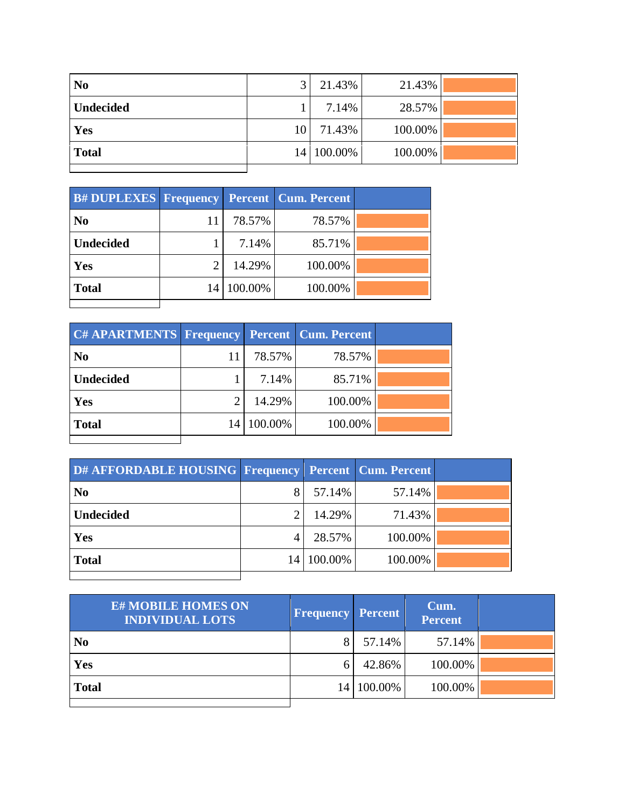| N <sub>0</sub>   |    | 21.43%     | 21.43%  |  |
|------------------|----|------------|---------|--|
| <b>Undecided</b> |    | 7.14%      | 28.57%  |  |
| Yes              | 10 | 71.43%     | 100.00% |  |
| <b>Total</b>     |    | 14 100.00% | 100.00% |  |
|                  |    |            |         |  |

| <b>B# DUPLEXES   Frequency</b> |                |            | <b>Percent   Cum. Percent</b> |  |
|--------------------------------|----------------|------------|-------------------------------|--|
| N <sub>0</sub>                 | 11             | 78.57%     | 78.57%                        |  |
| <b>Undecided</b>               |                | 7.14%      | 85.71%                        |  |
| Yes                            | $\overline{2}$ | 14.29%     | 100.00%                       |  |
| <b>Total</b>                   |                | 14 100.00% | 100.00%                       |  |
|                                |                |            |                               |  |

| <b>C# APARTMENTS Frequency</b> |            | <b>Percent   Cum. Percent</b> |  |
|--------------------------------|------------|-------------------------------|--|
| N <sub>0</sub>                 | 78.57%     | 78.57%                        |  |
| <b>Undecided</b>               | 7.14%      | 85.71%                        |  |
| Yes                            | 14.29%     | 100.00%                       |  |
| <b>Total</b>                   | 14 100.00% | 100.00%                       |  |
|                                |            |                               |  |

| D# AFFORDABLE HOUSING Frequency Percent Cum. Percent |    |         |         |  |
|------------------------------------------------------|----|---------|---------|--|
| N <sub>0</sub>                                       |    | 57.14%  | 57.14%  |  |
| <b>Undecided</b>                                     |    | 14.29%  | 71.43%  |  |
| Yes                                                  | 4  | 28.57%  | 100.00% |  |
| <b>Total</b>                                         | 14 | 100.00% | 100.00% |  |
|                                                      |    |         |         |  |

| <b>E# MOBILE HOMES ON</b><br><b>INDIVIDUAL LOTS</b> | <b>Frequency Percent</b> |            | Cum.<br><b>Percent</b> |  |
|-----------------------------------------------------|--------------------------|------------|------------------------|--|
| N <sub>0</sub>                                      |                          | 57.14%     | 57.14%                 |  |
| Yes                                                 | h                        | 42.86%     | 100.00%                |  |
| <b>Total</b>                                        |                          | 14 100.00% | 100.00%                |  |
|                                                     |                          |            |                        |  |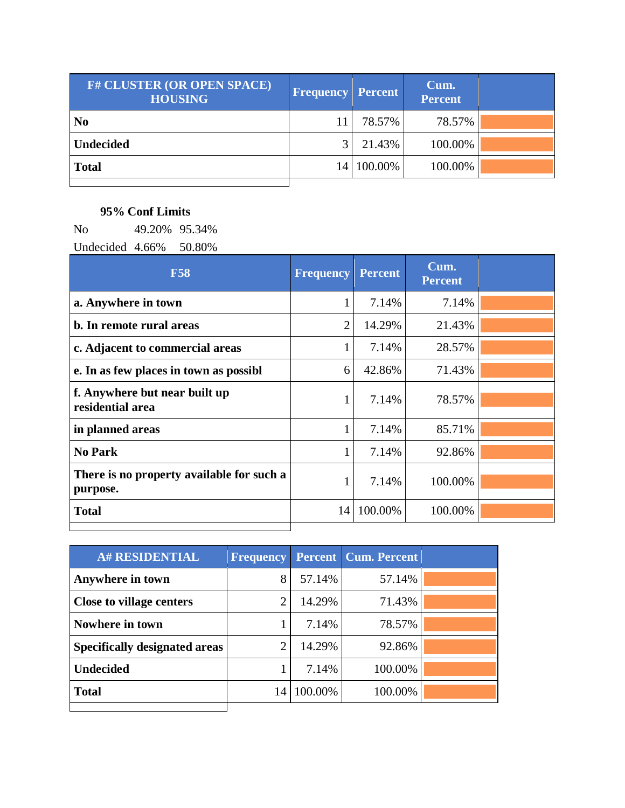| <b>F# CLUSTER (OR OPEN SPACE)</b><br><b>HOUSING</b> | <b>Frequency</b> | <b>Percent</b> | Cum.<br><b>Percent</b> |  |
|-----------------------------------------------------|------------------|----------------|------------------------|--|
| N <sub>0</sub>                                      |                  | 78.57%         | 78.57%                 |  |
| <b>Undecided</b>                                    |                  | 21.43%         | 100.00%                |  |
| <b>Total</b>                                        | 14 I             | 100.00%        | 100.00%                |  |
|                                                     |                  |                |                        |  |

## **95% Conf Limits**

No 49.20% 95.34%

Undecided 4.66% 50.80%

| <b>F58</b>                                            | <b>Frequency</b> | <b>Percent</b> | Cum.<br><b>Percent</b> |  |
|-------------------------------------------------------|------------------|----------------|------------------------|--|
| a. Anywhere in town                                   |                  | 7.14%          | 7.14%                  |  |
| b. In remote rural areas                              | $\overline{2}$   | 14.29%         | 21.43%                 |  |
| c. Adjacent to commercial areas                       | 1                | 7.14%          | 28.57%                 |  |
| e. In as few places in town as possibl                | 6                | 42.86%         | 71.43%                 |  |
| f. Anywhere but near built up<br>residential area     | $\mathbf{1}$     | 7.14%          | 78.57%                 |  |
| in planned areas                                      |                  | 7.14%          | 85.71%                 |  |
| <b>No Park</b>                                        | 1                | 7.14%          | 92.86%                 |  |
| There is no property available for such a<br>purpose. | 1                | 7.14%          | 100.00%                |  |
| <b>Total</b>                                          | 14               | 100.00%        | 100.00%                |  |

| <b>A# RESIDENTIAL</b>                |    |         | <b>Frequency Percent Cum. Percent</b> |  |
|--------------------------------------|----|---------|---------------------------------------|--|
| Anywhere in town                     | 8  | 57.14%  | 57.14%                                |  |
| <b>Close to village centers</b>      | ി  | 14.29%  | 71.43%                                |  |
| Nowhere in town                      |    | 7.14%   | 78.57%                                |  |
| <b>Specifically designated areas</b> | ി  | 14.29%  | 92.86%                                |  |
| <b>Undecided</b>                     |    | 7.14%   | 100.00%                               |  |
| <b>Total</b>                         | 14 | 100.00% | 100.00%                               |  |
|                                      |    |         |                                       |  |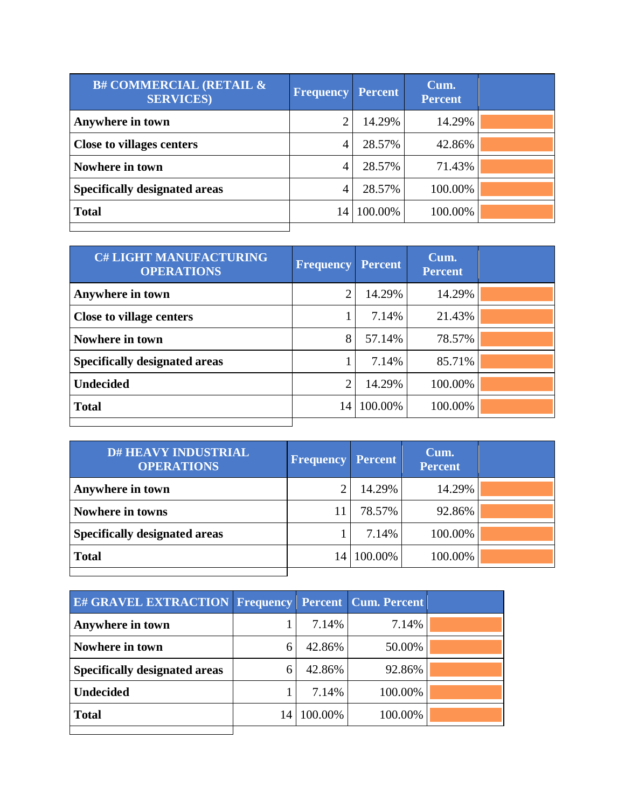| <b>B# COMMERCIAL (RETAIL &amp;</b><br><b>SERVICES</b> ) | <b>Frequency</b> | <b>Percent</b> | Cum.<br><b>Percent</b> |  |
|---------------------------------------------------------|------------------|----------------|------------------------|--|
| Anywhere in town                                        | ◠                | 14.29%         | 14.29%                 |  |
| <b>Close to villages centers</b>                        | 4                | 28.57%         | 42.86%                 |  |
| Nowhere in town                                         | 4                | 28.57%         | 71.43%                 |  |
| <b>Specifically designated areas</b>                    | 4                | 28.57%         | 100.00%                |  |
| <b>Total</b>                                            | 14               | 100.00%        | 100.00%                |  |
|                                                         |                  |                |                        |  |

| <b>C# LIGHT MANUFACTURING</b><br><b>OPERATIONS</b> | <b>Frequency</b> | <b>Percent</b> | Cum.<br><b>Percent</b> |  |
|----------------------------------------------------|------------------|----------------|------------------------|--|
| Anywhere in town                                   | 2                | 14.29%         | 14.29%                 |  |
| <b>Close to village centers</b>                    |                  | 7.14%          | 21.43%                 |  |
| Nowhere in town                                    | 8                | 57.14%         | 78.57%                 |  |
| <b>Specifically designated areas</b>               |                  | 7.14%          | 85.71%                 |  |
| <b>Undecided</b>                                   | $\overline{2}$   | 14.29%         | 100.00%                |  |
| <b>Total</b>                                       | 14               | 100.00%        | 100.00%                |  |
|                                                    |                  |                |                        |  |

| <b>D# HEAVY INDUSTRIAL</b><br><b>OPERATIONS</b> | <b>Frequency Percent</b> |         | Cum.<br><b>Percent</b> |  |
|-------------------------------------------------|--------------------------|---------|------------------------|--|
| Anywhere in town                                |                          | 14.29%  | 14.29%                 |  |
| <b>Nowhere in towns</b>                         |                          | 78.57%  | 92.86%                 |  |
| <b>Specifically designated areas</b>            |                          | 7.14%   | 100.00%                |  |
| <b>Total</b>                                    | 14                       | 100.00% | 100.00%                |  |
|                                                 |                          |         |                        |  |

| <b>E# GRAVEL EXTRACTION Frequency Percent Cum. Percent</b> |    |         |         |  |
|------------------------------------------------------------|----|---------|---------|--|
| Anywhere in town                                           |    | 7.14%   | 7.14%   |  |
| Nowhere in town                                            |    | 42.86%  | 50.00%  |  |
| <b>Specifically designated areas</b>                       | 6  | 42.86%  | 92.86%  |  |
| <b>Undecided</b>                                           |    | 7.14%   | 100.00% |  |
| <b>Total</b>                                               | 14 | 100.00% | 100.00% |  |
|                                                            |    |         |         |  |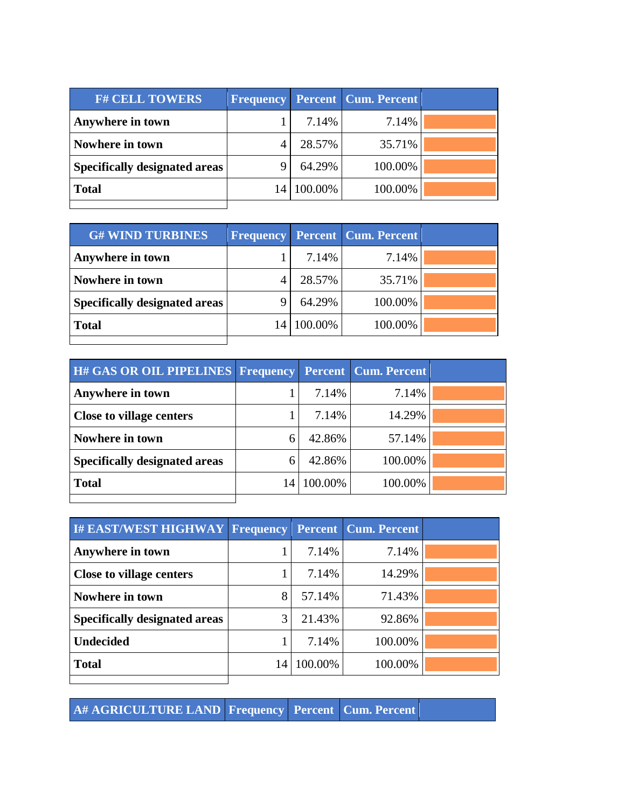| <b>F# CELL TOWERS</b>                |         | <b>Frequency Percent Cum. Percent</b> |  |
|--------------------------------------|---------|---------------------------------------|--|
| Anywhere in town                     | 7.14%   | 7.14%                                 |  |
| Nowhere in town                      | 28.57%  | 35.71%                                |  |
| <b>Specifically designated areas</b> | 64.29%  | 100.00%                               |  |
| <b>Total</b>                         | 100.00% | 100.00%                               |  |
|                                      |         |                                       |  |

| <b>G# WIND TURBINES</b>              |    |         | <b>Frequency Percent Cum. Percent</b> |  |
|--------------------------------------|----|---------|---------------------------------------|--|
| Anywhere in town                     |    | 7.14%   | 7.14%                                 |  |
| Nowhere in town                      |    | 28.57%  | 35.71%                                |  |
| <b>Specifically designated areas</b> |    | 64.29%  | 100.00%                               |  |
| <b>Total</b>                         | 14 | 100.00% | 100.00%                               |  |
|                                      |    |         |                                       |  |

| H# GAS OR OIL PIPELINES Frequency Percent Cum. Percent |    |         |         |  |
|--------------------------------------------------------|----|---------|---------|--|
| Anywhere in town                                       |    | 7.14%   | 7.14%   |  |
| <b>Close to village centers</b>                        |    | 7.14%   | 14.29%  |  |
| Nowhere in town                                        | 6  | 42.86%  | 57.14%  |  |
| <b>Specifically designated areas</b>                   | 6  | 42.86%  | 100.00% |  |
| <b>Total</b>                                           | 14 | 100.00% | 100.00% |  |
|                                                        |    |         |         |  |

| I# EAST/WEST HIGHWAY Frequency       |    |         | <b>Percent   Cum. Percent</b> |  |
|--------------------------------------|----|---------|-------------------------------|--|
| Anywhere in town                     |    | 7.14%   | 7.14%                         |  |
| <b>Close to village centers</b>      |    | 7.14%   | 14.29%                        |  |
| Nowhere in town                      | 8  | 57.14%  | 71.43%                        |  |
| <b>Specifically designated areas</b> | 3  | 21.43%  | 92.86%                        |  |
| <b>Undecided</b>                     |    | 7.14%   | 100.00%                       |  |
| <b>Total</b>                         | 14 | 100.00% | 100.00%                       |  |
|                                      |    |         |                               |  |

**A# AGRICULTURE LAND Frequency Percent Cum. Percent**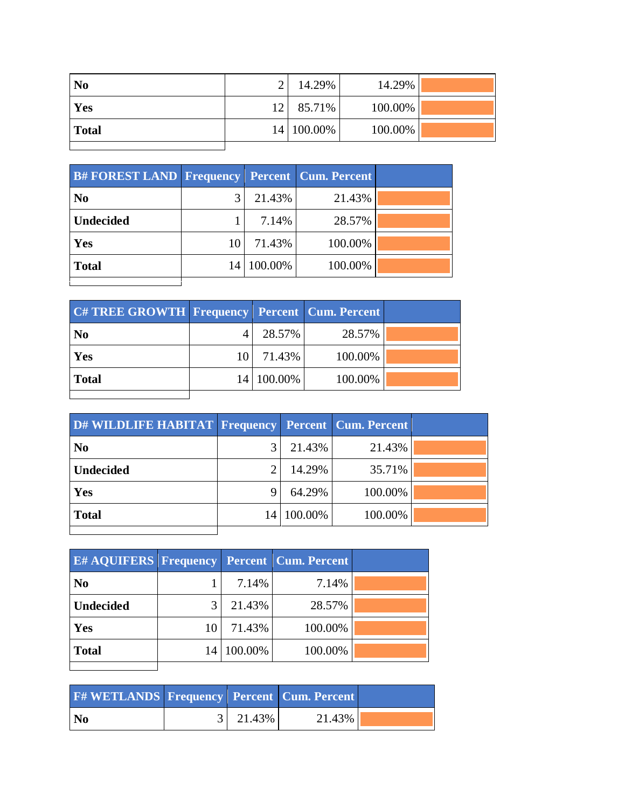| N <sub>0</sub> |                 | 14.29%     | 14.29%  |  |
|----------------|-----------------|------------|---------|--|
| Yes            | 12 <sup>1</sup> | 85.71%     | 100.00% |  |
| <b>Total</b>   |                 | 14 100.00% | 100.00% |  |
|                |                 |            |         |  |

| <b>B#FOREST LAND Frequency Percent Cum. Percent</b> |    |            |         |  |
|-----------------------------------------------------|----|------------|---------|--|
| N <sub>0</sub>                                      |    | 21.43%     | 21.43%  |  |
| <b>Undecided</b>                                    |    | 7.14%      | 28.57%  |  |
| Yes                                                 | 10 | 71.43%     | 100.00% |  |
| <b>Total</b>                                        |    | 14 100.00% | 100.00% |  |
|                                                     |    |            |         |  |

| <b>C# TREE GROWTH Frequency Percent Cum. Percent</b> |            |         |  |
|------------------------------------------------------|------------|---------|--|
| N <sub>0</sub>                                       | 28.57%     | 28.57%  |  |
| Yes                                                  | 10 71.43%  | 100.00% |  |
| <b>Total</b>                                         | 14 100.00% | 100.00% |  |
|                                                      |            |         |  |

| D# WILDLIFE HABITAT Frequency |                 |         | <b>Percent Cum. Percent</b> |  |
|-------------------------------|-----------------|---------|-----------------------------|--|
| N <sub>0</sub>                |                 | 21.43%  | 21.43%                      |  |
| <b>Undecided</b>              |                 | 14.29%  | 35.71%                      |  |
| Yes                           |                 | 64.29%  | 100.00%                     |  |
| <b>Total</b>                  | 14 <sup>1</sup> | 100.00% | 100.00%                     |  |
|                               |                 |         |                             |  |

| <b>E#AQUIFERS Frequency Percent Cum. Percent</b> |    |            |         |  |
|--------------------------------------------------|----|------------|---------|--|
| N <sub>0</sub>                                   |    | 7.14%      | 7.14%   |  |
| <b>Undecided</b>                                 |    | 21.43%     | 28.57%  |  |
| Yes                                              | 10 | 71.43%     | 100.00% |  |
| <b>Total</b>                                     |    | 14 100.00% | 100.00% |  |
|                                                  |    |            |         |  |

| <b>F#WETLANDS Frequency Percent Cum. Percent</b> |                  |        |  |
|--------------------------------------------------|------------------|--------|--|
| <b>No</b>                                        | $3 \mid 21.43\%$ | 21.43% |  |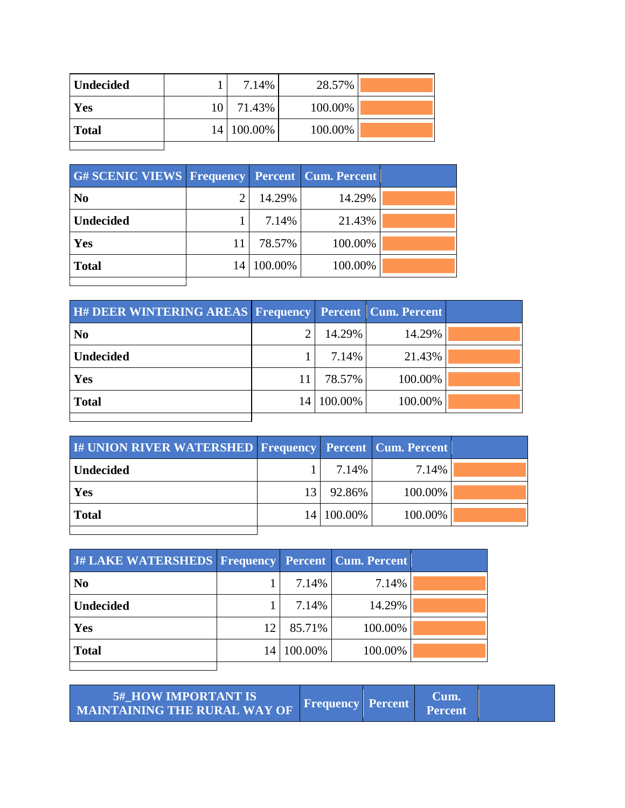| Undecided    |      | 7.14%        | 28.57%  |  |
|--------------|------|--------------|---------|--|
| Yes          | 10 I | 71.43%       | 100.00% |  |
| <b>Total</b> |      | 14   100.00% | 100.00% |  |
|              |      |              |         |  |

| <b>G#SCENIC VIEWS Frequency Percent Cum. Percent</b> |    |         |         |  |
|------------------------------------------------------|----|---------|---------|--|
| N <sub>0</sub>                                       |    | 14.29%  | 14.29%  |  |
| <b>Undecided</b>                                     |    | 7.14%   | 21.43%  |  |
| Yes                                                  | 11 | 78.57%  | 100.00% |  |
| <b>Total</b>                                         | 14 | 100.00% | 100.00% |  |
|                                                      |    |         |         |  |

| <b>H# DEER WINTERING AREAS Frequency Percent Cum. Percent</b> |    |         |         |  |
|---------------------------------------------------------------|----|---------|---------|--|
| $\overline{\text{No}}$                                        |    | 14.29%  | 14.29%  |  |
| <b>Undecided</b>                                              |    | 7.14%   | 21.43%  |  |
| Yes                                                           |    | 78.57%  | 100.00% |  |
| <b>Total</b>                                                  | 14 | 100.00% | 100.00% |  |
|                                                               |    |         |         |  |

| <b>I# UNION RIVER WATERSHED Frequency Percent Cum. Percent</b> |    |            |         |  |
|----------------------------------------------------------------|----|------------|---------|--|
| <b>Undecided</b>                                               |    | 7.14%      | 7.14%   |  |
| Yes                                                            | 13 | 92.86%     | 100.00% |  |
| <b>Total</b>                                                   |    | 14 100.00% | 100.00% |  |
|                                                                |    |            |         |  |

| J# LAKE WATERSHEDS Frequency Percent Cum. Percent |    |            |         |  |
|---------------------------------------------------|----|------------|---------|--|
| N <sub>0</sub>                                    |    | 7.14%      | 7.14%   |  |
| <b>Undecided</b>                                  |    | 7.14%      | 14.29%  |  |
| Yes                                               | 12 | 85.71%     | 100.00% |  |
| <b>Total</b>                                      | 14 | $100.00\%$ | 100.00% |  |
|                                                   |    |            |         |  |

| <b>5# HOW IMPORTANT IS</b><br>MAINTAINING THE RURAL WAY OF | <b>Frequency Percent</b> | Jum.<br><b>Percent</b> |  |
|------------------------------------------------------------|--------------------------|------------------------|--|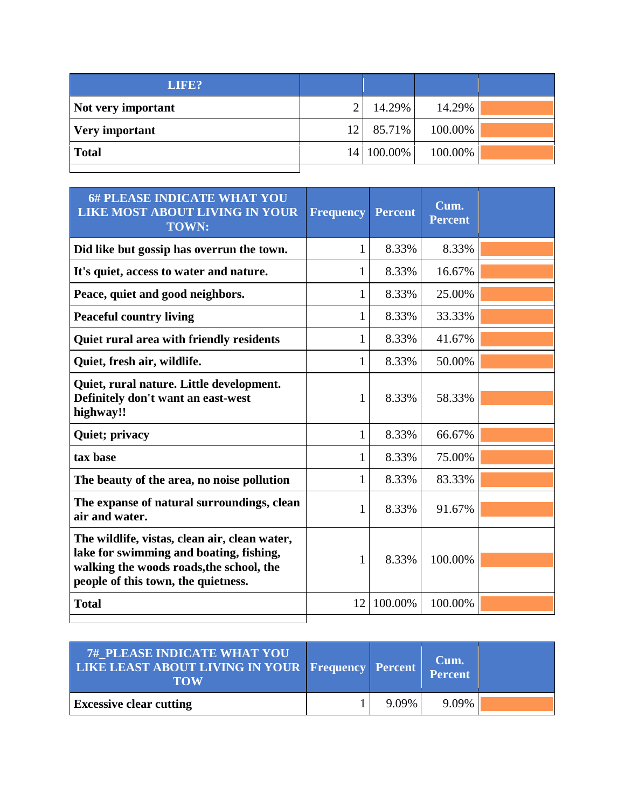| LIFE?              |    |            |         |  |
|--------------------|----|------------|---------|--|
| Not very important |    | 14.29%     | 14.29%  |  |
| Very important     | 12 | 85.71%     | 100.00% |  |
| <b>Total</b>       |    | 14 100.00% | 100.00% |  |
|                    |    |            |         |  |

| <b>6# PLEASE INDICATE WHAT YOU</b><br><b>LIKE MOST ABOUT LIVING IN YOUR</b><br><b>TOWN:</b>                                                                                 | <b>Frequency</b> | <b>Percent</b> | Cum.<br><b>Percent</b> |  |
|-----------------------------------------------------------------------------------------------------------------------------------------------------------------------------|------------------|----------------|------------------------|--|
| Did like but gossip has overrun the town.                                                                                                                                   | 1                | 8.33%          | 8.33%                  |  |
| It's quiet, access to water and nature.                                                                                                                                     | 1                | 8.33%          | 16.67%                 |  |
| Peace, quiet and good neighbors.                                                                                                                                            | 1                | 8.33%          | 25.00%                 |  |
| <b>Peaceful country living</b>                                                                                                                                              | 1                | 8.33%          | 33.33%                 |  |
| Quiet rural area with friendly residents                                                                                                                                    | 1                | 8.33%          | 41.67%                 |  |
| Quiet, fresh air, wildlife.                                                                                                                                                 | 1                | 8.33%          | 50.00%                 |  |
| Quiet, rural nature. Little development.<br>Definitely don't want an east-west<br>highway!!                                                                                 | $\mathbf{1}$     | 8.33%          | 58.33%                 |  |
| <b>Quiet</b> ; privacy                                                                                                                                                      | $\mathbf{1}$     | 8.33%          | 66.67%                 |  |
| tax base                                                                                                                                                                    | 1                | 8.33%          | 75.00%                 |  |
| The beauty of the area, no noise pollution                                                                                                                                  | 1                | 8.33%          | 83.33%                 |  |
| The expanse of natural surroundings, clean<br>air and water.                                                                                                                | 1                | 8.33%          | 91.67%                 |  |
| The wildlife, vistas, clean air, clean water,<br>lake for swimming and boating, fishing,<br>walking the woods roads, the school, the<br>people of this town, the quietness. | 1                | 8.33%          | 100.00%                |  |
| <b>Total</b>                                                                                                                                                                | 12               | 100.00%        | 100.00%                |  |

| <b>7# PLEASE INDICATE WHAT YOU</b><br>LIKE LEAST ABOUT LIVING IN YOUR Frequency Percent<br><b>TOW</b> |       | Cum.<br>Percent |  |
|-------------------------------------------------------------------------------------------------------|-------|-----------------|--|
| <b>Excessive clear cutting</b>                                                                        | 9.09% | 9.09%           |  |